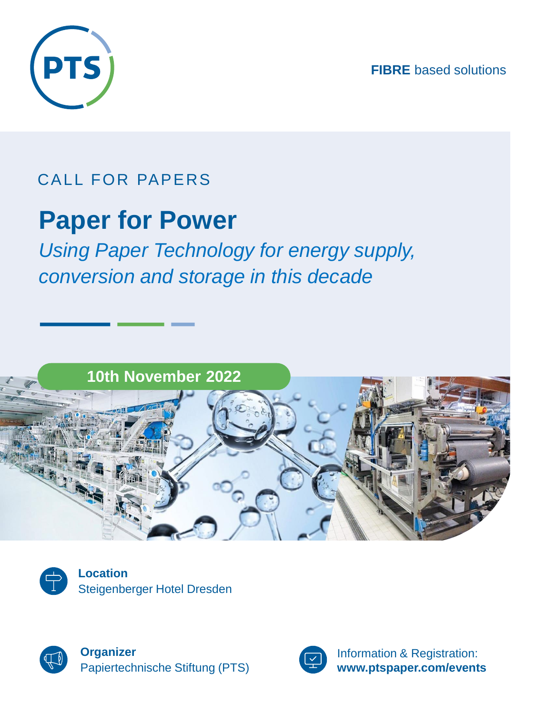**FIBRE** based solutions



### CALL FOR PAPERS

### **Paper for Power**

*Using Paper Technology for energy supply, conversion and storage in this decade* 





**Location** Steigenberger Hotel Dresden



**Organizer** Papiertechnische Stiftung (PTS)



Information & Registration: **www.ptspaper.com/events**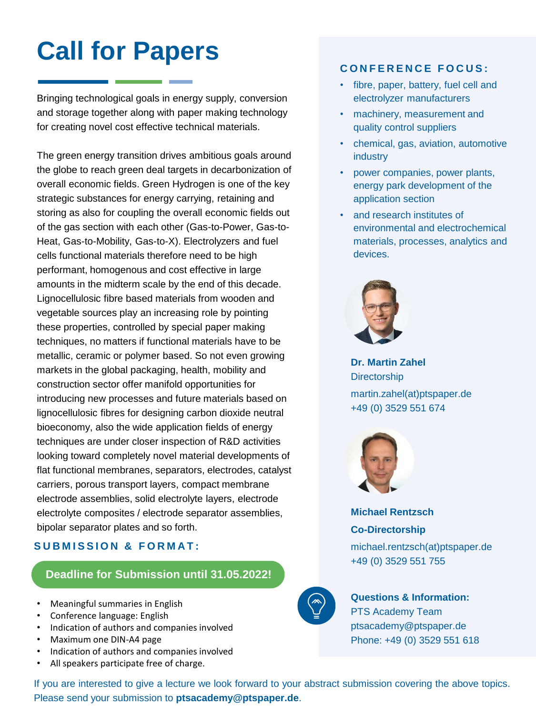## **Call for Papers**

Bringing technological goals in energy supply, conversion and storage together along with paper making technology for creating novel cost effective technical materials.

The green energy transition drives ambitious goals around the globe to reach green deal targets in decarbonization of overall economic fields. Green Hydrogen is one of the key strategic substances for energy carrying, retaining and storing as also for coupling the overall economic fields out of the gas section with each other (Gas-to-Power, Gas-to-Heat, Gas-to-Mobility, Gas-to-X). Electrolyzers and fuel cells functional materials therefore need to be high performant, homogenous and cost effective in large amounts in the midterm scale by the end of this decade. Lignocellulosic fibre based materials from wooden and vegetable sources play an increasing role by pointing these properties, controlled by special paper making techniques, no matters if functional materials have to be metallic, ceramic or polymer based. So not even growing markets in the global packaging, health, mobility and construction sector offer manifold opportunities for introducing new processes and future materials based on lignocellulosic fibres for designing carbon dioxide neutral bioeconomy, also the wide application fields of energy techniques are under closer inspection of R&D activities looking toward completely novel material developments of flat functional membranes, separators, electrodes, catalyst carriers, porous transport layers, compact membrane electrode assemblies, solid electrolyte layers, electrode electrolyte composites / electrode separator assemblies, bipolar separator plates and so forth.

### **SUBMISSION & FORMAT:**

### **Deadline for Submission until 31.05.2022!**

- Meaningful summaries in English
- Conference language: English
- Indication of authors and companies involved
- Maximum one DIN-A4 page
- Indication of authors and companies involved
- All speakers participate free of charge.

### **C O N F E R E N C E F O C U S :**

- fibre, paper, battery, fuel cell and electrolyzer manufacturers
- machinery, measurement and quality control suppliers
- chemical, gas, aviation, automotive industry
- power companies, power plants, energy park development of the application section
- and research institutes of environmental and electrochemical materials, processes, analytics and devices.



**Dr. Martin Zahel Directorship** martin.zahel(at)ptspaper.de +49 (0) 3529 551 674



**Michael Rentzsch Co-Directorship**

michael.rentzsch(at)ptspaper.de +49 (0) 3529 551 755



### **Questions & Information:** PTS Academy Team ptsacademy@ptspaper.de Phone: +49 (0) 3529 551 618

If you are interested to give a lecture we look forward to your abstract submission covering the above topics. Please send your submission to **ptsacademy@ptspaper.de**.